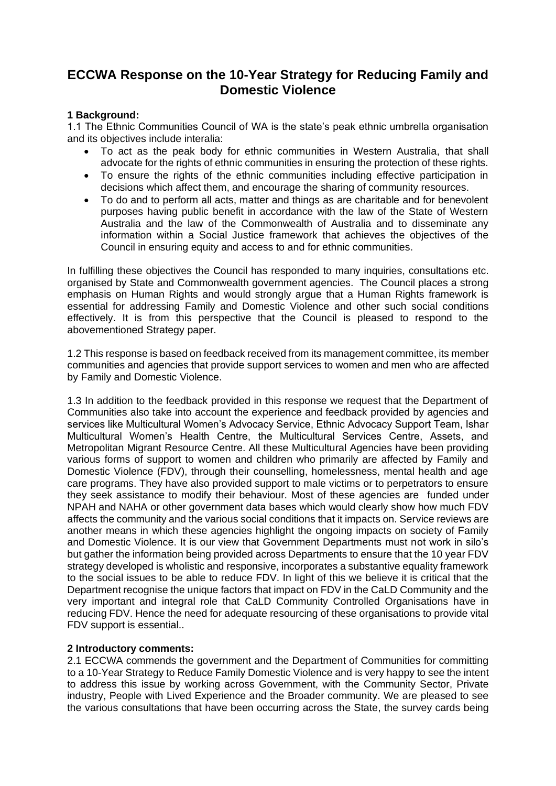# **ECCWA Response on the 10-Year Strategy for Reducing Family and Domestic Violence**

## **1 Background:**

1.1 The Ethnic Communities Council of WA is the state's peak ethnic umbrella organisation and its objectives include interalia:

- To act as the peak body for ethnic communities in Western Australia, that shall advocate for the rights of ethnic communities in ensuring the protection of these rights.
- To ensure the rights of the ethnic communities including effective participation in decisions which affect them, and encourage the sharing of community resources.
- To do and to perform all acts, matter and things as are charitable and for benevolent purposes having public benefit in accordance with the law of the State of Western Australia and the law of the Commonwealth of Australia and to disseminate any information within a Social Justice framework that achieves the objectives of the Council in ensuring equity and access to and for ethnic communities.

In fulfilling these objectives the Council has responded to many inquiries, consultations etc. organised by State and Commonwealth government agencies. The Council places a strong emphasis on Human Rights and would strongly argue that a Human Rights framework is essential for addressing Family and Domestic Violence and other such social conditions effectively. It is from this perspective that the Council is pleased to respond to the abovementioned Strategy paper.

1.2 This response is based on feedback received from its management committee, its member communities and agencies that provide support services to women and men who are affected by Family and Domestic Violence.

1.3 In addition to the feedback provided in this response we request that the Department of Communities also take into account the experience and feedback provided by agencies and services like Multicultural Women's Advocacy Service, Ethnic Advocacy Support Team, Ishar Multicultural Women's Health Centre, the Multicultural Services Centre, Assets, and Metropolitan Migrant Resource Centre. All these Multicultural Agencies have been providing various forms of support to women and children who primarily are affected by Family and Domestic Violence (FDV), through their counselling, homelessness, mental health and age care programs. They have also provided support to male victims or to perpetrators to ensure they seek assistance to modify their behaviour. Most of these agencies are funded under NPAH and NAHA or other government data bases which would clearly show how much FDV affects the community and the various social conditions that it impacts on. Service reviews are another means in which these agencies highlight the ongoing impacts on society of Family and Domestic Violence. It is our view that Government Departments must not work in silo's but gather the information being provided across Departments to ensure that the 10 year FDV strategy developed is wholistic and responsive, incorporates a substantive equality framework to the social issues to be able to reduce FDV. In light of this we believe it is critical that the Department recognise the unique factors that impact on FDV in the CaLD Community and the very important and integral role that CaLD Community Controlled Organisations have in reducing FDV. Hence the need for adequate resourcing of these organisations to provide vital FDV support is essential..

# **2 Introductory comments:**

2.1 ECCWA commends the government and the Department of Communities for committing to a 10-Year Strategy to Reduce Family Domestic Violence and is very happy to see the intent to address this issue by working across Government, with the Community Sector, Private industry, People with Lived Experience and the Broader community. We are pleased to see the various consultations that have been occurring across the State, the survey cards being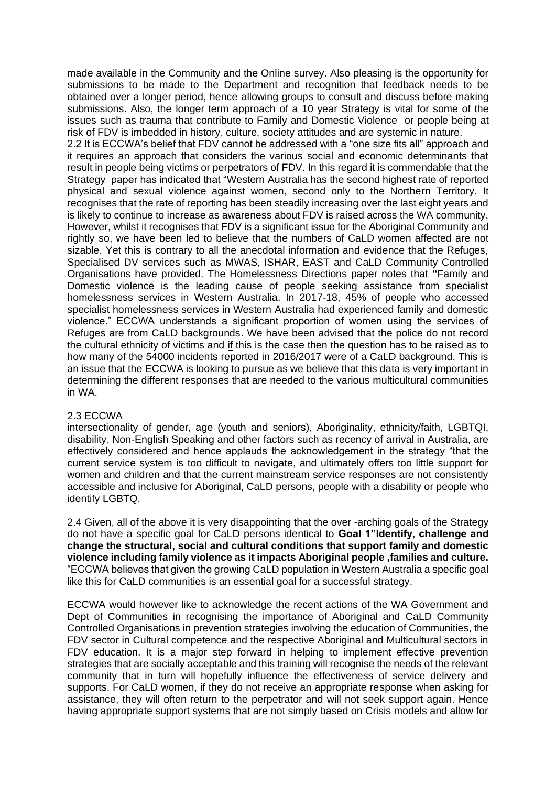made available in the Community and the Online survey. Also pleasing is the opportunity for submissions to be made to the Department and recognition that feedback needs to be obtained over a longer period, hence allowing groups to consult and discuss before making submissions. Also, the longer term approach of a 10 year Strategy is vital for some of the issues such as trauma that contribute to Family and Domestic Violence or people being at risk of FDV is imbedded in history, culture, society attitudes and are systemic in nature.

2.2 It is ECCWA's belief that FDV cannot be addressed with a "one size fits all" approach and it requires an approach that considers the various social and economic determinants that result in people being victims or perpetrators of FDV. In this regard it is commendable that the Strategy paper has indicated that "Western Australia has the second highest rate of reported physical and sexual violence against women, second only to the Northern Territory. It recognises that the rate of reporting has been steadily increasing over the last eight years and is likely to continue to increase as awareness about FDV is raised across the WA community. However, whilst it recognises that FDV is a significant issue for the Aboriginal Community and rightly so, we have been led to believe that the numbers of CaLD women affected are not sizable. Yet this is contrary to all the anecdotal information and evidence that the Refuges, Specialised DV services such as MWAS, ISHAR, EAST and CaLD Community Controlled Organisations have provided. The Homelessness Directions paper notes that **"**Family and Domestic violence is the leading cause of people seeking assistance from specialist homelessness services in Western Australia. In 2017-18, 45% of people who accessed specialist homelessness services in Western Australia had experienced family and domestic violence." ECCWA understands a significant proportion of women using the services of Refuges are from CaLD backgrounds. We have been advised that the police do not record the cultural ethnicity of victims and if this is the case then the question has to be raised as to how many of the 54000 incidents reported in 2016/2017 were of a CaLD background. This is an issue that the ECCWA is looking to pursue as we believe that this data is very important in determining the different responses that are needed to the various multicultural communities in WA.

#### 2.3 ECCWA

intersectionality of gender, age (youth and seniors), Aboriginality, ethnicity/faith, LGBTQI, disability, Non-English Speaking and other factors such as recency of arrival in Australia, are effectively considered and hence applauds the acknowledgement in the strategy "that the current service system is too difficult to navigate, and ultimately offers too little support for women and children and that the current mainstream service responses are not consistently accessible and inclusive for Aboriginal, CaLD persons, people with a disability or people who identify LGBTQ.

2.4 Given, all of the above it is very disappointing that the over -arching goals of the Strategy do not have a specific goal for CaLD persons identical to **Goal 1"Identify, challenge and change the structural, social and cultural conditions that support family and domestic violence including family violence as it impacts Aboriginal people ,families and culture.**  "ECCWA believes that given the growing CaLD population in Western Australia a specific goal like this for CaLD communities is an essential goal for a successful strategy.

ECCWA would however like to acknowledge the recent actions of the WA Government and Dept of Communities in recognising the importance of Aboriginal and CaLD Community Controlled Organisations in prevention strategies involving the education of Communities, the FDV sector in Cultural competence and the respective Aboriginal and Multicultural sectors in FDV education. It is a major step forward in helping to implement effective prevention strategies that are socially acceptable and this training will recognise the needs of the relevant community that in turn will hopefully influence the effectiveness of service delivery and supports. For CaLD women, if they do not receive an appropriate response when asking for assistance, they will often return to the perpetrator and will not seek support again. Hence having appropriate support systems that are not simply based on Crisis models and allow for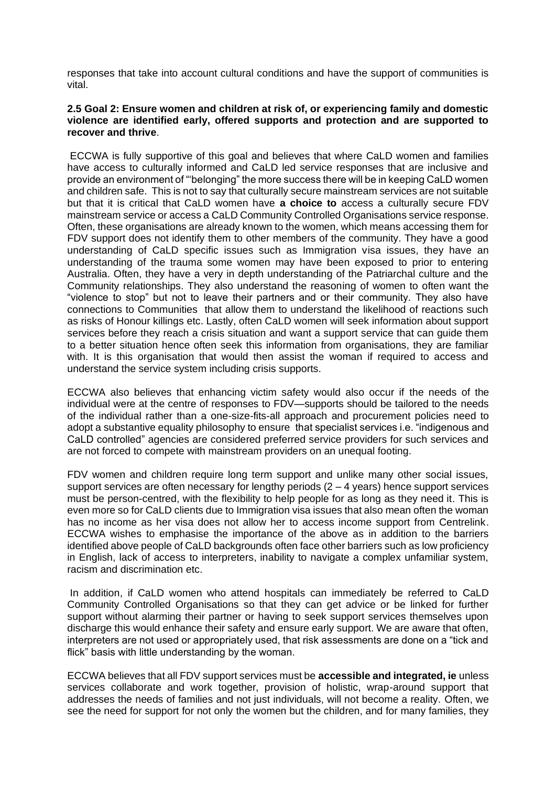responses that take into account cultural conditions and have the support of communities is vital.

## **2.5 Goal 2: Ensure women and children at risk of, or experiencing family and domestic violence are identified early, offered supports and protection and are supported to recover and thrive**.

ECCWA is fully supportive of this goal and believes that where CaLD women and families have access to culturally informed and CaLD led service responses that are inclusive and provide an environment of "'belonging" the more success there will be in keeping CaLD women and children safe. This is not to say that culturally secure mainstream services are not suitable but that it is critical that CaLD women have **a choice to** access a culturally secure FDV mainstream service or access a CaLD Community Controlled Organisations service response. Often, these organisations are already known to the women, which means accessing them for FDV support does not identify them to other members of the community. They have a good understanding of CaLD specific issues such as Immigration visa issues, they have an understanding of the trauma some women may have been exposed to prior to entering Australia. Often, they have a very in depth understanding of the Patriarchal culture and the Community relationships. They also understand the reasoning of women to often want the "violence to stop" but not to leave their partners and or their community. They also have connections to Communities that allow them to understand the likelihood of reactions such as risks of Honour killings etc. Lastly, often CaLD women will seek information about support services before they reach a crisis situation and want a support service that can guide them to a better situation hence often seek this information from organisations, they are familiar with. It is this organisation that would then assist the woman if required to access and understand the service system including crisis supports.

ECCWA also believes that enhancing victim safety would also occur if the needs of the individual were at the centre of responses to FDV—supports should be tailored to the needs of the individual rather than a one-size-fits-all approach and procurement policies need to adopt a substantive equality philosophy to ensure that specialist services i.e. "indigenous and CaLD controlled" agencies are considered preferred service providers for such services and are not forced to compete with mainstream providers on an unequal footing.

FDV women and children require long term support and unlike many other social issues, support services are often necessary for lengthy periods  $(2 - 4 \text{ years})$  hence support services must be person-centred, with the flexibility to help people for as long as they need it. This is even more so for CaLD clients due to Immigration visa issues that also mean often the woman has no income as her visa does not allow her to access income support from Centrelink. ECCWA wishes to emphasise the importance of the above as in addition to the barriers identified above people of CaLD backgrounds often face other barriers such as low proficiency in English, lack of access to interpreters, inability to navigate a complex unfamiliar system, racism and discrimination etc.

In addition, if CaLD women who attend hospitals can immediately be referred to CaLD Community Controlled Organisations so that they can get advice or be linked for further support without alarming their partner or having to seek support services themselves upon discharge this would enhance their safety and ensure early support. We are aware that often, interpreters are not used or appropriately used, that risk assessments are done on a "tick and flick" basis with little understanding by the woman.

ECCWA believes that all FDV support services must be **accessible and integrated, ie** unless services collaborate and work together, provision of holistic, wrap-around support that addresses the needs of families and not just individuals, will not become a reality. Often, we see the need for support for not only the women but the children, and for many families, they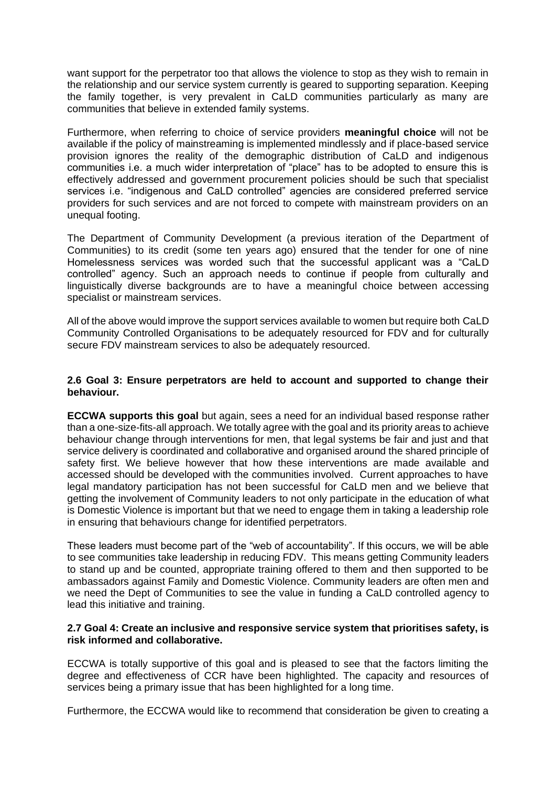want support for the perpetrator too that allows the violence to stop as they wish to remain in the relationship and our service system currently is geared to supporting separation. Keeping the family together, is very prevalent in CaLD communities particularly as many are communities that believe in extended family systems.

Furthermore, when referring to choice of service providers **meaningful choice** will not be available if the policy of mainstreaming is implemented mindlessly and if place-based service provision ignores the reality of the demographic distribution of CaLD and indigenous communities i.e. a much wider interpretation of "place" has to be adopted to ensure this is effectively addressed and government procurement policies should be such that specialist services i.e. "indigenous and CaLD controlled" agencies are considered preferred service providers for such services and are not forced to compete with mainstream providers on an unequal footing.

The Department of Community Development (a previous iteration of the Department of Communities) to its credit (some ten years ago) ensured that the tender for one of nine Homelessness services was worded such that the successful applicant was a "CaLD controlled" agency. Such an approach needs to continue if people from culturally and linguistically diverse backgrounds are to have a meaningful choice between accessing specialist or mainstream services.

All of the above would improve the support services available to women but require both CaLD Community Controlled Organisations to be adequately resourced for FDV and for culturally secure FDV mainstream services to also be adequately resourced.

## **2.6 Goal 3: Ensure perpetrators are held to account and supported to change their behaviour.**

**ECCWA supports this goal** but again, sees a need for an individual based response rather than a one-size-fits-all approach. We totally agree with the goal and its priority areas to achieve behaviour change through interventions for men, that legal systems be fair and just and that service delivery is coordinated and collaborative and organised around the shared principle of safety first. We believe however that how these interventions are made available and accessed should be developed with the communities involved. Current approaches to have legal mandatory participation has not been successful for CaLD men and we believe that getting the involvement of Community leaders to not only participate in the education of what is Domestic Violence is important but that we need to engage them in taking a leadership role in ensuring that behaviours change for identified perpetrators.

These leaders must become part of the "web of accountability". If this occurs, we will be able to see communities take leadership in reducing FDV. This means getting Community leaders to stand up and be counted, appropriate training offered to them and then supported to be ambassadors against Family and Domestic Violence. Community leaders are often men and we need the Dept of Communities to see the value in funding a CaLD controlled agency to lead this initiative and training.

## **2.7 Goal 4: Create an inclusive and responsive service system that prioritises safety, is risk informed and collaborative.**

ECCWA is totally supportive of this goal and is pleased to see that the factors limiting the degree and effectiveness of CCR have been highlighted. The capacity and resources of services being a primary issue that has been highlighted for a long time.

Furthermore, the ECCWA would like to recommend that consideration be given to creating a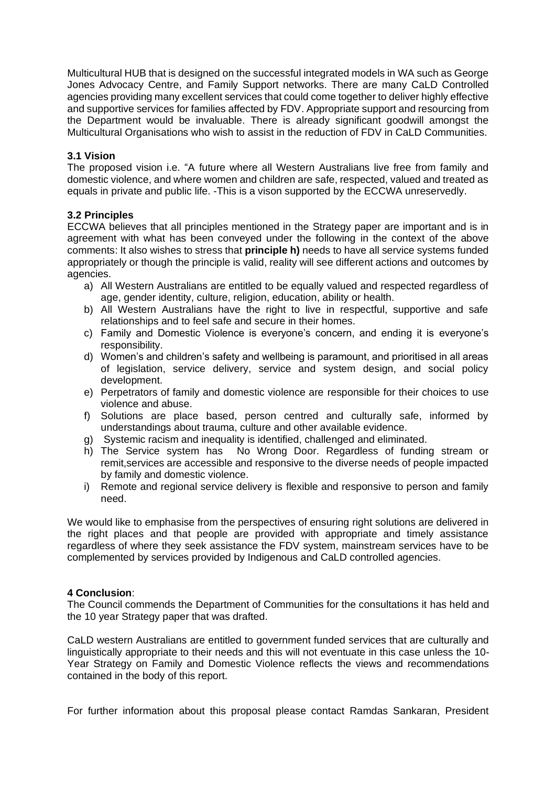Multicultural HUB that is designed on the successful integrated models in WA such as George Jones Advocacy Centre, and Family Support networks. There are many CaLD Controlled agencies providing many excellent services that could come together to deliver highly effective and supportive services for families affected by FDV. Appropriate support and resourcing from the Department would be invaluable. There is already significant goodwill amongst the Multicultural Organisations who wish to assist in the reduction of FDV in CaLD Communities.

# **3.1 Vision**

The proposed vision i.e. "A future where all Western Australians live free from family and domestic violence, and where women and children are safe, respected, valued and treated as equals in private and public life. -This is a vison supported by the ECCWA unreservedly.

# **3.2 Principles**

ECCWA believes that all principles mentioned in the Strategy paper are important and is in agreement with what has been conveyed under the following in the context of the above comments: It also wishes to stress that **principle h)** needs to have all service systems funded appropriately or though the principle is valid, reality will see different actions and outcomes by agencies.

- a) All Western Australians are entitled to be equally valued and respected regardless of age, gender identity, culture, religion, education, ability or health.
- b) All Western Australians have the right to live in respectful, supportive and safe relationships and to feel safe and secure in their homes.
- c) Family and Domestic Violence is everyone's concern, and ending it is everyone's responsibility.
- d) Women's and children's safety and wellbeing is paramount, and prioritised in all areas of legislation, service delivery, service and system design, and social policy development.
- e) Perpetrators of family and domestic violence are responsible for their choices to use violence and abuse.
- f) Solutions are place based, person centred and culturally safe, informed by understandings about trauma, culture and other available evidence.
- g) Systemic racism and inequality is identified, challenged and eliminated.
- h) The Service system has No Wrong Door. Regardless of funding stream or remit,services are accessible and responsive to the diverse needs of people impacted by family and domestic violence.
- i) Remote and regional service delivery is flexible and responsive to person and family need.

We would like to emphasise from the perspectives of ensuring right solutions are delivered in the right places and that people are provided with appropriate and timely assistance regardless of where they seek assistance the FDV system, mainstream services have to be complemented by services provided by Indigenous and CaLD controlled agencies.

# **4 Conclusion**:

The Council commends the Department of Communities for the consultations it has held and the 10 year Strategy paper that was drafted.

CaLD western Australians are entitled to government funded services that are culturally and linguistically appropriate to their needs and this will not eventuate in this case unless the 10- Year Strategy on Family and Domestic Violence reflects the views and recommendations contained in the body of this report.

For further information about this proposal please contact Ramdas Sankaran, President